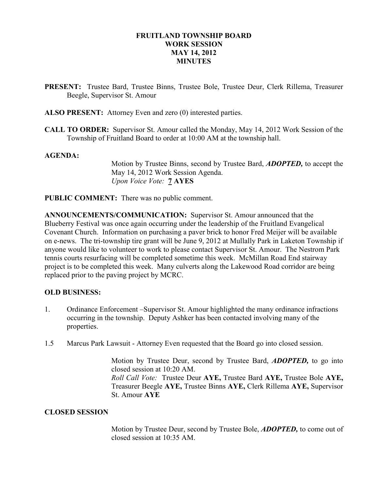## FRUITLAND TOWNSHIP BOARD WORK SESSION MAY 14, 2012 **MINUTES**

- PRESENT: Trustee Bard, Trustee Binns, Trustee Bole, Trustee Deur, Clerk Rillema, Treasurer Beegle, Supervisor St. Amour
- ALSO PRESENT: Attorney Even and zero (0) interested parties.
- CALL TO ORDER: Supervisor St. Amour called the Monday, May 14, 2012 Work Session of the Township of Fruitland Board to order at 10:00 AM at the township hall.

### AGENDA:

Motion by Trustee Binns, second by Trustee Bard, ADOPTED, to accept the May 14, 2012 Work Session Agenda. Upon Voice Vote: 7 AYES

PUBLIC COMMENT: There was no public comment.

ANNOUNCEMENTS/COMMUNICATION: Supervisor St. Amour announced that the Blueberry Festival was once again occurring under the leadership of the Fruitland Evangelical Covenant Church. Information on purchasing a paver brick to honor Fred Meijer will be available on e-news. The tri-township tire grant will be June 9, 2012 at Mullally Park in Laketon Township if anyone would like to volunteer to work to please contact Supervisor St. Amour. The Nestrom Park tennis courts resurfacing will be completed sometime this week. McMillan Road End stairway project is to be completed this week. Many culverts along the Lakewood Road corridor are being replaced prior to the paving project by MCRC.

### OLD BUSINESS:

- 1. Ordinance Enforcement –Supervisor St. Amour highlighted the many ordinance infractions occurring in the township. Deputy Ashker has been contacted involving many of the properties.
- 1.5 Marcus Park Lawsuit Attorney Even requested that the Board go into closed session.

Motion by Trustee Deur, second by Trustee Bard, **ADOPTED**, to go into closed session at 10:20 AM.

Roll Call Vote: Trustee Deur AYE, Trustee Bard AYE, Trustee Bole AYE, Treasurer Beegle AYE, Trustee Binns AYE, Clerk Rillema AYE, Supervisor St. Amour AYE

### CLOSED SESSION

Motion by Trustee Deur, second by Trustee Bole, **ADOPTED**, to come out of closed session at 10:35 AM.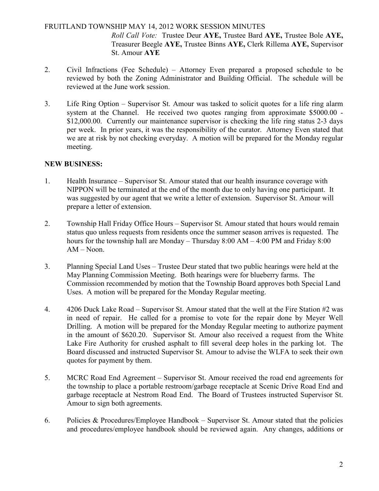# FRUITLAND TOWNSHIP MAY 14, 2012 WORK SESSION MINUTES

Roll Call Vote: Trustee Deur AYE, Trustee Bard AYE, Trustee Bole AYE, Treasurer Beegle AYE, Trustee Binns AYE, Clerk Rillema AYE, Supervisor St. Amour AYE

- 2. Civil Infractions (Fee Schedule) Attorney Even prepared a proposed schedule to be reviewed by both the Zoning Administrator and Building Official. The schedule will be reviewed at the June work session.
- 3. Life Ring Option Supervisor St. Amour was tasked to solicit quotes for a life ring alarm system at the Channel. He received two quotes ranging from approximate \$5000.00 - \$12,000.00. Currently our maintenance supervisor is checking the life ring status 2-3 days per week. In prior years, it was the responsibility of the curator. Attorney Even stated that we are at risk by not checking everyday. A motion will be prepared for the Monday regular meeting.

## NEW BUSINESS:

- 1. Health Insurance Supervisor St. Amour stated that our health insurance coverage with NIPPON will be terminated at the end of the month due to only having one participant. It was suggested by our agent that we write a letter of extension. Supervisor St. Amour will prepare a letter of extension.
- 2. Township Hall Friday Office Hours Supervisor St. Amour stated that hours would remain status quo unless requests from residents once the summer season arrives is requested. The hours for the township hall are Monday – Thursday 8:00 AM – 4:00 PM and Friday 8:00 AM – Noon.
- 3. Planning Special Land Uses Trustee Deur stated that two public hearings were held at the May Planning Commission Meeting. Both hearings were for blueberry farms. The Commission recommended by motion that the Township Board approves both Special Land Uses. A motion will be prepared for the Monday Regular meeting.
- 4. 4206 Duck Lake Road Supervisor St. Amour stated that the well at the Fire Station #2 was in need of repair. He called for a promise to vote for the repair done by Meyer Well Drilling. A motion will be prepared for the Monday Regular meeting to authorize payment in the amount of \$620.20. Supervisor St. Amour also received a request from the White Lake Fire Authority for crushed asphalt to fill several deep holes in the parking lot. The Board discussed and instructed Supervisor St. Amour to advise the WLFA to seek their own quotes for payment by them.
- 5. MCRC Road End Agreement Supervisor St. Amour received the road end agreements for the township to place a portable restroom/garbage receptacle at Scenic Drive Road End and garbage receptacle at Nestrom Road End. The Board of Trustees instructed Supervisor St. Amour to sign both agreements.
- 6. Policies & Procedures/Employee Handbook Supervisor St. Amour stated that the policies and procedures/employee handbook should be reviewed again. Any changes, additions or